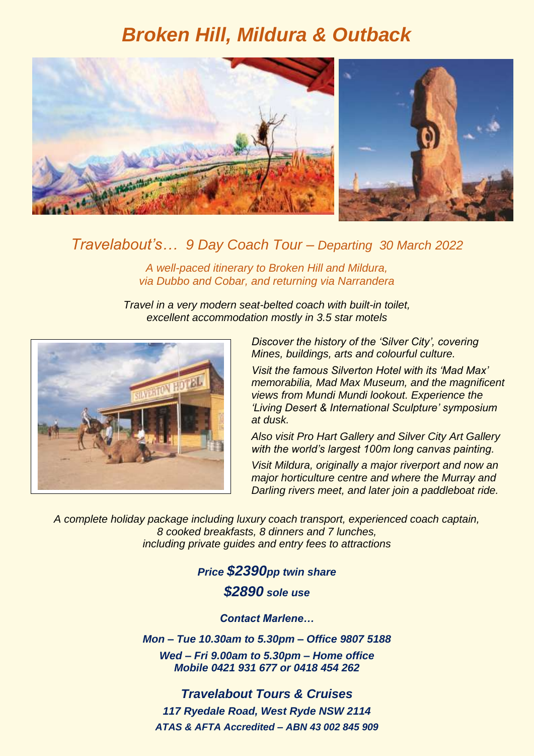# *Broken Hill, Mildura & Outback*



### *Travelabout's… 9 Day Coach Tour – Departing 30 March 2022*

*A well-paced itinerary to Broken Hill and Mildura, via Dubbo and Cobar, and returning via Narrandera*

*Travel in a very modern seat-belted coach with built-in toilet, excellent accommodation mostly in 3.5 star motels*



*Discover the history of the 'Silver City', covering Mines, buildings, arts and colourful culture.*

*Visit the famous Silverton Hotel with its 'Mad Max' memorabilia, Mad Max Museum, and the magnificent views from Mundi Mundi lookout. Experience the 'Living Desert & International Sculpture' symposium at dusk.*

*Also visit Pro Hart Gallery and Silver City Art Gallery with the world's largest 100m long canvas painting.*

*Visit Mildura, originally a major riverport and now an major horticulture centre and where the Murray and Darling rivers meet, and later join a paddleboat ride.*

*A complete holiday package including luxury coach transport, experienced coach captain, 8 cooked breakfasts, 8 dinners and 7 lunches, including private guides and entry fees to attractions*

## *Price \$2390pp twin share \$2890 sole use*

*Contact Marlene…*

*Mon – Tue 10.30am to 5.30pm – Office 9807 5188 Wed – Fri 9.00am to 5.30pm – Home office Mobile 0421 931 677 or 0418 454 262*

*Travelabout Tours & Cruises 117 Ryedale Road, West Ryde NSW 2114 ATAS & AFTA Accredited – ABN 43 002 845 909*